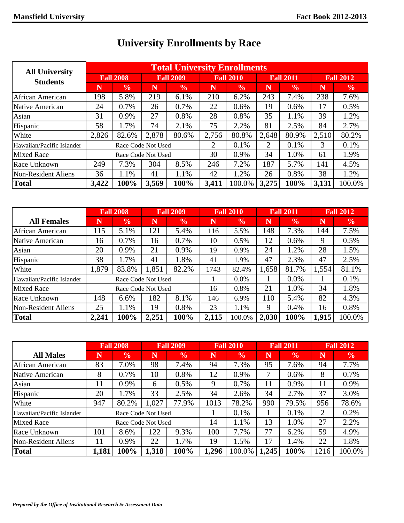| <b>All University</b>      |                  |                    |       | <b>Total University Enrollments</b> |                  |               |                  |               |                  |               |
|----------------------------|------------------|--------------------|-------|-------------------------------------|------------------|---------------|------------------|---------------|------------------|---------------|
| <b>Students</b>            | <b>Fall 2008</b> |                    |       | <b>Fall 2009</b>                    | <b>Fall 2010</b> |               | <b>Fall 2011</b> |               | <b>Fall 2012</b> |               |
|                            | N                | $\frac{6}{6}$      | N     | $\frac{0}{0}$                       | N                | $\frac{0}{0}$ | N                | $\frac{6}{6}$ | N                | $\frac{6}{6}$ |
| African American           | 198              | 5.8%               | 219   | 6.1%                                | 210              | 6.2%          | 243              | 7.4%          | 238              | 7.6%          |
| Native American            | 24               | 0.7%               | 26    | 0.7%                                | 22               | 0.6%          | 19               | 0.6%          | 17               | 0.5%          |
| Asian                      | 31               | 0.9%               | 27    | 0.8%                                | 28               | 0.8%          | 35               | 1.1%          | 39               | 1.2%          |
| Hispanic                   | 58               | 1.7%               | 74    | 2.1%                                | 75               | 2.2%          | 81               | 2.5%          | 84               | 2.7%          |
| White                      | 2,826            | 82.6%              | 2,878 | 80.6%                               | 2,756            | 80.8%         | 2,648            | 80.9%         | 2,510            | 80.2%         |
| Hawaiian/Pacific Islander  |                  | Race Code Not Used |       |                                     | 2                | 0.1%          | $\overline{2}$   | 0.1%          | 3                | 0.1%          |
| <b>Mixed Race</b>          |                  | Race Code Not Used |       |                                     | 30               | 0.9%          | 34               | 1.0%          | 61               | 1.9%          |
| Race Unknown               | 249              | 7.3%               | 304   | 8.5%                                | 246              | 7.2%          | 187              | 5.7%          | 141              | 4.5%          |
| <b>Non-Resident Aliens</b> | 36               | 1.1%               | 41    | 1.1%                                | 42               | 1.2%          | 26               | 0.8%          | 38               | 1.2%          |
| <b>Total</b>               | 3,422            | 100%               | 3,569 | 100%                                | 3,411            | 100.0%        | 3,275            | 100%          | 3,131            | 100.0%        |

## **University Enrollments by Race**

|                           | <b>Fall 2008</b> |                    |       | <b>Fall 2009</b> |       | <b>Fall 2010</b> |       | <b>Fall 2011</b> | <b>Fall 2012</b> |               |
|---------------------------|------------------|--------------------|-------|------------------|-------|------------------|-------|------------------|------------------|---------------|
| <b>All Females</b>        | N                | $\frac{6}{9}$      | N     | $\frac{6}{6}$    | N     | $\frac{6}{6}$    | N     | $\frac{1}{2}$    | N                | $\frac{6}{6}$ |
| African American          | 115              | 5.1%               | 121   | 5.4%             | 116   | 5.5%             | 148   | 7.3%             | 144              | 7.5%          |
| Native American           | 16               | 0.7%               | 16    | 0.7%             | 10    | 0.5%             | 12    | 0.6%             | 9                | 0.5%          |
| Asian                     | 20               | 0.9%               | 21    | 0.9%             | 19    | 0.9%             | 24    | 1.2%             | 28               | 1.5%          |
| Hispanic                  | 38               | 1.7%               | 41    | 1.8%             | 41    | 1.9%             | 47    | 2.3%             | 47               | 2.5%          |
| White                     | 1,879            | 83.8%              | 1,851 | 82.2%            | 1743  | 82.4%            | 1,658 | 81.7%            | 1,554            | 81.1%         |
| Hawaiian/Pacific Islander |                  | Race Code Not Used |       |                  |       | 0.0%             |       | 0.0%             |                  | 0.1%          |
| <b>Mixed Race</b>         |                  | Race Code Not Used |       |                  | 16    | 0.8%             | 21    | 1.0%             | 34               | 1.8%          |
| Race Unknown              | 148              | 6.6%               | 182   | 8.1%             | 146   | 6.9%             | 110   | 5.4%             | 82               | 4.3%          |
| Non-Resident Aliens       | 25               | 1.1%               | 19    | 0.8%             | 23    | 1.1%             | 9     | 0.4%             | 16               | 0.8%          |
| <b>Total</b>              | 2,241            | 100%               | 2,251 | 100%             | 2,115 | 100.0%           | 2,030 | 100%             | 1,915            | 100.0%        |

|                           | <b>Fall 2008</b>        |                    |       | <b>Fall 2009</b> |       | <b>Fall 2010</b> |       | <b>Fall 2011</b> | <b>Fall 2012</b> |               |
|---------------------------|-------------------------|--------------------|-------|------------------|-------|------------------|-------|------------------|------------------|---------------|
| <b>All Males</b>          | $\overline{\textsf{N}}$ | $\frac{6}{6}$      | N     | $\frac{6}{6}$    | N     | $\frac{6}{6}$    | N     | $\frac{0}{0}$    |                  | $\frac{0}{0}$ |
| African American          | 83                      | 7.0%               | 98    | 7.4%             | 94    | 7.3%             | 95    | 7.6%             | 94               | 7.7%          |
| Native American           | 8                       | 0.7%               | 10    | 0.8%             | 12    | 0.9%             | 7     | 0.6%             | 8                | 0.7%          |
| Asian                     | 11                      | 0.9%               | 6     | 0.5%             | 9     | 0.7%             | 11    | 0.9%             | 11               | 0.9%          |
| Hispanic                  | 20                      | $.7\%$             | 33    | 2.5%             | 34    | 2.6%             | 34    | 2.7%             | 37               | 3.0%          |
| White                     | 947                     | 80.2%              | 1,027 | 77.9%            | 1013  | 78.2%            | 990   | 79.5%            | 956              | 78.6%         |
| Hawaiian/Pacific Islander |                         | Race Code Not Used |       |                  |       | 0.1%             |       | 0.1%             | 2                | 0.2%          |
| <b>Mixed Race</b>         |                         | Race Code Not Used |       |                  | 14    | 1.1%             | 13    | 1.0%             | 27               | 2.2%          |
| Race Unknown              | 101                     | 8.6%               | 122   | 9.3%             | 100   | 7.7%             | 77    | 6.2%             | 59               | 4.9%          |
| Non-Resident Aliens       | 11                      | 0.9%               | 22    | 1.7%             | 19    | 1.5%             | 17    | 1.4%             | 22               | 1.8%          |
| Total                     | 1,181                   | 100%               | 1,318 | 100%             | 1,296 | 100.0%           | 1,245 | 100%             | 1216             | 100.0%        |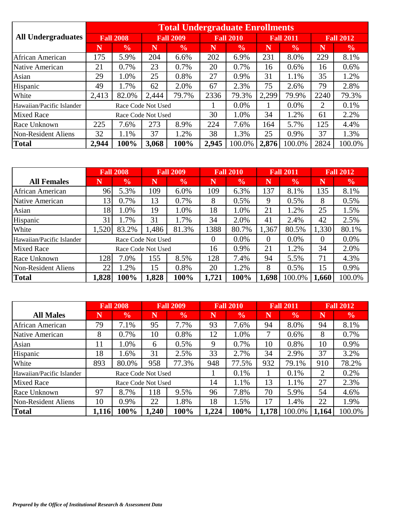|                           |                  |                    |       | <b>Total Undergraduate Enrollments</b> |       |                  |       |                  |                         |                  |  |
|---------------------------|------------------|--------------------|-------|----------------------------------------|-------|------------------|-------|------------------|-------------------------|------------------|--|
| <b>All Undergraduates</b> | <b>Fall 2008</b> |                    |       | <b>Fall 2009</b>                       |       | <b>Fall 2010</b> |       | <b>Fall 2011</b> |                         | <b>Fall 2012</b> |  |
|                           | N                | $\frac{6}{6}$      | N     | $\frac{0}{0}$                          | Ñ     | $\frac{6}{6}$    | N     | $\frac{0}{0}$    | $\overline{\textbf{N}}$ | $\frac{6}{6}$    |  |
| African American          | 175              | 5.9%               | 204   | 6.6%                                   | 202   | 6.9%             | 231   | 8.0%             | 229                     | 8.1%             |  |
| Native American           | 21               | 0.7%               | 23    | 0.7%                                   | 20    | 0.7%             | 16    | 0.6%             | 16                      | 0.6%             |  |
| Asian                     | 29               | 1.0%               | 25    | 0.8%                                   | 27    | 0.9%             | 31    | 1.1%             | 35                      | 1.2%             |  |
| Hispanic                  | 49               | 1.7%               | 62    | 2.0%                                   | 67    | 2.3%             | 75    | 2.6%             | 79                      | 2.8%             |  |
| White                     | 2,413            | 82.0%              | 2,444 | 79.7%                                  | 2336  | 79.3%            | 2,299 | 79.9%            | 2240                    | 79.3%            |  |
| Hawaiian/Pacific Islander |                  | Race Code Not Used |       |                                        |       | 0.0%             |       | $0.0\%$          | 2                       | 0.1%             |  |
| <b>Mixed Race</b>         |                  | Race Code Not Used |       |                                        | 30    | 1.0%             | 34    | 1.2%             | 61                      | 2.2%             |  |
| Race Unknown              | 225              | 7.6%               | 273   | 8.9%                                   | 224   | 7.6%             | 164   | 5.7%             | 125                     | 4.4%             |  |
| Non-Resident Aliens       | 32               | 1.1%               | 37    | 1.2%                                   | 38    | 1.3%             | 25    | 0.9%             | 37                      | 1.3%             |  |
| <b>Total</b>              | 2,944            | 100%               | 3,068 | 100%                                   | 2,945 | 100.0%           | 2,876 | 100.0%           | 2824                    | 100.0%           |  |

|                           | <b>Fall 2008</b> |                    |       | <b>Fall 2009</b> |                | <b>Fall 2010</b> |          | <b>Fall 2011</b> | <b>Fall 2012</b> |               |
|---------------------------|------------------|--------------------|-------|------------------|----------------|------------------|----------|------------------|------------------|---------------|
| <b>All Females</b>        | N                | $\frac{6}{6}$      | N     | $\frac{0}{0}$    | N              | $\frac{6}{6}$    | N        | $\frac{6}{6}$    | N                | $\frac{6}{6}$ |
| <b>African American</b>   | 96               | 5.3%               | 109   | 6.0%             | 109            | 6.3%             | 137      | 8.1%             | 135              | 8.1%          |
| Native American           | 13'              | 0.7%               | 13    | 0.7%             | 8              | 0.5%             | 9        | 0.5%             | 8                | 0.5%          |
| Asian                     | 18               | 1.0%               | 19    | 1.0%             | 18             | 1.0%             | 21       | 1.2%             | 25               | 1.5%          |
| Hispanic                  | 31               | 1.7%               | 31    | 1.7%             | 34             | 2.0%             | 41       | 2.4%             | 42               | 2.5%          |
| White                     | 1,520            | 83.2%              | 1,486 | 81.3%            | 1388           | 80.7%            | 1,367    | 80.5%            | 1,330            | 80.1%         |
| Hawaiian/Pacific Islander |                  | Race Code Not Used |       |                  | $\overline{0}$ | $0.0\%$          | $\theta$ | 0.0%             | 0                | 0.0%          |
| <b>Mixed Race</b>         |                  | Race Code Not Used |       |                  | 16             | 0.9%             | 21       | 1.2%             | 34               | 2.0%          |
| Race Unknown              | 128              | 7.0%               | 155   | 8.5%             | 128            | 7.4%             | 94       | 5.5%             | 71               | 4.3%          |
| Non-Resident Aliens       | 22               | $1.2\%$            | 15    | 0.8%             | 20             | 1.2%             | 8        | 0.5%             | 15               | 0.9%          |
| <b>Total</b>              | 1,828            | 100%               | .828  | 100%             | 1,721          | 100%             | 1,698    | 100.0%           | 1,660            | 100.0%        |

|                           |       | <b>Fall 2008</b>   |      | <b>Fall 2009</b> |       | <b>Fall 2010</b> |       | <b>Fall 2011</b> | <b>Fall 2012</b> |               |
|---------------------------|-------|--------------------|------|------------------|-------|------------------|-------|------------------|------------------|---------------|
| <b>All Males</b>          | N     | $\frac{6}{6}$      | N    | $\frac{6}{6}$    | N     | $\frac{0}{0}$    | N     | $\frac{6}{6}$    | N                | $\frac{6}{6}$ |
| <b>African American</b>   | 79    | 7.1%               | 95   | 7.7%             | 93    | 7.6%             | 94    | 8.0%             | 94               | 8.1%          |
| Native American           | 8     | 0.7%               | 10   | 0.8%             | 12    | 1.0%             | 7     | 0.6%             | 8                | 0.7%          |
| Asian                     | 11    | 1.0%               | 6    | 0.5%             | 9     | 0.7%             | 10    | 0.8%             | 10               | 0.9%          |
| Hispanic                  | 18    | 1.6%               | 31   | 2.5%             | 33    | 2.7%             | 34    | 2.9%             | 37               | 3.2%          |
| White                     | 893   | 80.0%              | 958  | 77.3%            | 948   | 77.5%            | 932   | 79.1%            | 910              | 78.2%         |
| Hawaiian/Pacific Islander |       | Race Code Not Used |      |                  |       | 0.1%             |       | 0.1%             | $\overline{2}$   | 0.2%          |
| <b>Mixed Race</b>         |       | Race Code Not Used |      |                  | 14    | 1.1%             | 13    | 1.1%             | 27               | 2.3%          |
| Race Unknown              | 97    | 8.7%               | 118  | 9.5%             | 96    | 7.8%             | 70    | 5.9%             | 54               | 4.6%          |
| Non-Resident Aliens       | 10    | 0.9%               | 22   | 1.8%             | 18    | 1.5%             | 17    | 1.4%             | 22               | 1.9%          |
| <b>Total</b>              | 1,116 | 100%               | ,240 | 100%             | 1,224 | 100%             | 1,178 | 100.0%           | 1,164            | 100.0%        |